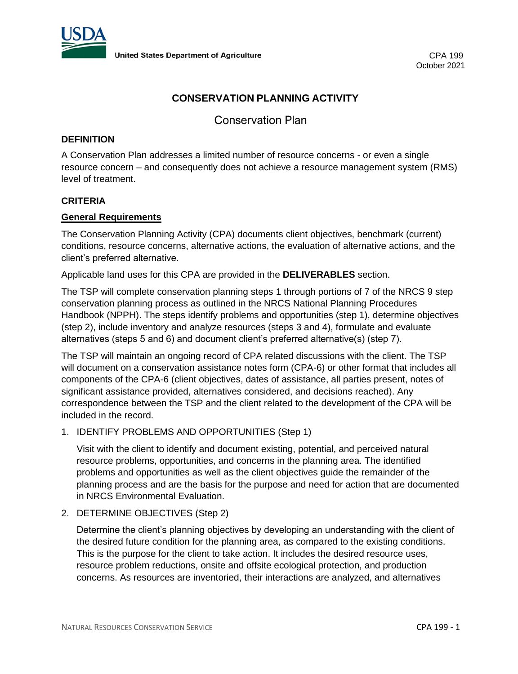

# **CONSERVATION PLANNING ACTIVITY**

Conservation Plan

### **DEFINITION**

A Conservation Plan addresses a limited number of resource concerns - or even a single resource concern – and consequently does not achieve a resource management system (RMS) level of treatment.

### **CRITERIA**

### **General Requirements**

The Conservation Planning Activity (CPA) documents client objectives, benchmark (current) conditions, resource concerns, alternative actions, the evaluation of alternative actions, and the client's preferred alternative.

Applicable land uses for this CPA are provided in the **DELIVERABLES** section.

The TSP will complete conservation planning steps 1 through portions of 7 of the NRCS 9 step conservation planning process as outlined in the NRCS National Planning Procedures Handbook (NPPH). The steps identify problems and opportunities (step 1), determine objectives (step 2), include inventory and analyze resources (steps 3 and 4), formulate and evaluate alternatives (steps 5 and 6) and document client's preferred alternative(s) (step 7).

The TSP will maintain an ongoing record of CPA related discussions with the client. The TSP will document on a conservation assistance notes form (CPA-6) or other format that includes all components of the CPA-6 (client objectives, dates of assistance, all parties present, notes of significant assistance provided, alternatives considered, and decisions reached). Any correspondence between the TSP and the client related to the development of the CPA will be included in the record.

#### 1. IDENTIFY PROBLEMS AND OPPORTUNITIES (Step 1)

Visit with the client to identify and document existing, potential, and perceived natural resource problems, opportunities, and concerns in the planning area. The identified problems and opportunities as well as the client objectives guide the remainder of the planning process and are the basis for the purpose and need for action that are documented in NRCS Environmental Evaluation.

#### 2. DETERMINE OBJECTIVES (Step 2)

Determine the client's planning objectives by developing an understanding with the client of the desired future condition for the planning area, as compared to the existing conditions. This is the purpose for the client to take action. It includes the desired resource uses, resource problem reductions, onsite and offsite ecological protection, and production concerns. As resources are inventoried, their interactions are analyzed, and alternatives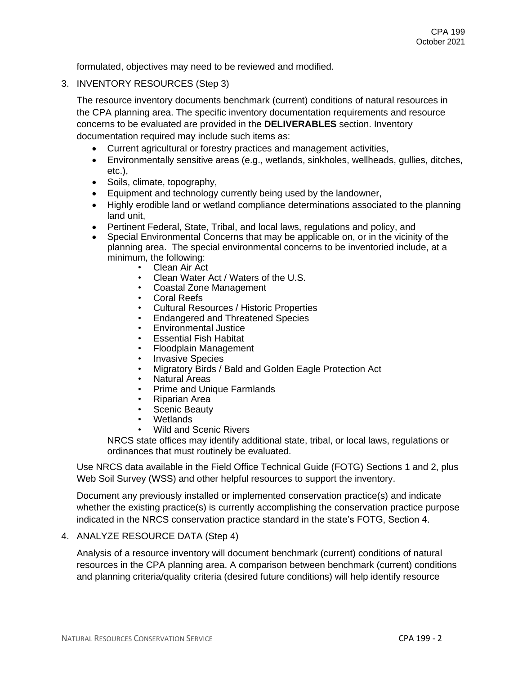formulated, objectives may need to be reviewed and modified.

3. INVENTORY RESOURCES (Step 3)

The resource inventory documents benchmark (current) conditions of natural resources in the CPA planning area. The specific inventory documentation requirements and resource concerns to be evaluated are provided in the **DELIVERABLES** section. Inventory documentation required may include such items as:

- Current agricultural or forestry practices and management activities,
- Environmentally sensitive areas (e.g., wetlands, sinkholes, wellheads, gullies, ditches, etc.),
- Soils, climate, topography,
- Equipment and technology currently being used by the landowner,
- Highly erodible land or wetland compliance determinations associated to the planning land unit,
- Pertinent Federal, State, Tribal, and local laws, regulations and policy, and
- Special Environmental Concerns that may be applicable on, or in the vicinity of the planning area. The special environmental concerns to be inventoried include, at a minimum, the following:
	- Clean Air Act
	- Clean Water Act / Waters of the U.S.
	- Coastal Zone Management
	- Coral Reefs
	- Cultural Resources / Historic Properties
	- Endangered and Threatened Species
	- Environmental Justice
	- Essential Fish Habitat
	- Floodplain Management
	- Invasive Species
	- Migratory Birds / Bald and Golden Eagle Protection Act
	- Natural Areas
	- Prime and Unique Farmlands
	- Riparian Area
	- Scenic Beauty
	- **Wetlands**
	- Wild and Scenic Rivers

NRCS state offices may identify additional state, tribal, or local laws, regulations or ordinances that must routinely be evaluated.

Use NRCS data available in the Field Office Technical Guide (FOTG) Sections 1 and 2, plus Web Soil Survey (WSS) and other helpful resources to support the inventory.

Document any previously installed or implemented conservation practice(s) and indicate whether the existing practice(s) is currently accomplishing the conservation practice purpose indicated in the NRCS conservation practice standard in the state's FOTG, Section 4.

### 4. ANALYZE RESOURCE DATA (Step 4)

Analysis of a resource inventory will document benchmark (current) conditions of natural resources in the CPA planning area. A comparison between benchmark (current) conditions and planning criteria/quality criteria (desired future conditions) will help identify resource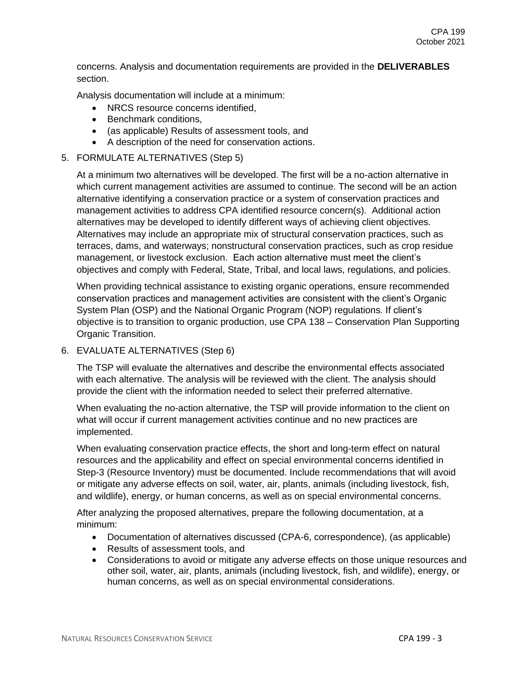concerns. Analysis and documentation requirements are provided in the **DELIVERABLES** section.

Analysis documentation will include at a minimum:

- NRCS resource concerns identified.
- Benchmark conditions,
- (as applicable) Results of assessment tools, and
- A description of the need for conservation actions.

### 5. FORMULATE ALTERNATIVES (Step 5)

At a minimum two alternatives will be developed. The first will be a no-action alternative in which current management activities are assumed to continue. The second will be an action alternative identifying a conservation practice or a system of conservation practices and management activities to address CPA identified resource concern(s). Additional action alternatives may be developed to identify different ways of achieving client objectives. Alternatives may include an appropriate mix of structural conservation practices, such as terraces, dams, and waterways; nonstructural conservation practices, such as crop residue management, or livestock exclusion. Each action alternative must meet the client's objectives and comply with Federal, State, Tribal, and local laws, regulations, and policies.

When providing technical assistance to existing organic operations, ensure recommended conservation practices and management activities are consistent with the client's Organic System Plan (OSP) and the National Organic Program (NOP) regulations. If client's objective is to transition to organic production, use CPA 138 – Conservation Plan Supporting Organic Transition.

#### 6. EVALUATE ALTERNATIVES (Step 6)

The TSP will evaluate the alternatives and describe the environmental effects associated with each alternative. The analysis will be reviewed with the client. The analysis should provide the client with the information needed to select their preferred alternative.

When evaluating the no-action alternative, the TSP will provide information to the client on what will occur if current management activities continue and no new practices are implemented.

When evaluating conservation practice effects, the short and long-term effect on natural resources and the applicability and effect on special environmental concerns identified in Step-3 (Resource Inventory) must be documented. Include recommendations that will avoid or mitigate any adverse effects on soil, water, air, plants, animals (including livestock, fish, and wildlife), energy, or human concerns, as well as on special environmental concerns.

After analyzing the proposed alternatives, prepare the following documentation, at a minimum:

- Documentation of alternatives discussed (CPA-6, correspondence), (as applicable)
- Results of assessment tools, and
- Considerations to avoid or mitigate any adverse effects on those unique resources and other soil, water, air, plants, animals (including livestock, fish, and wildlife), energy, or human concerns, as well as on special environmental considerations.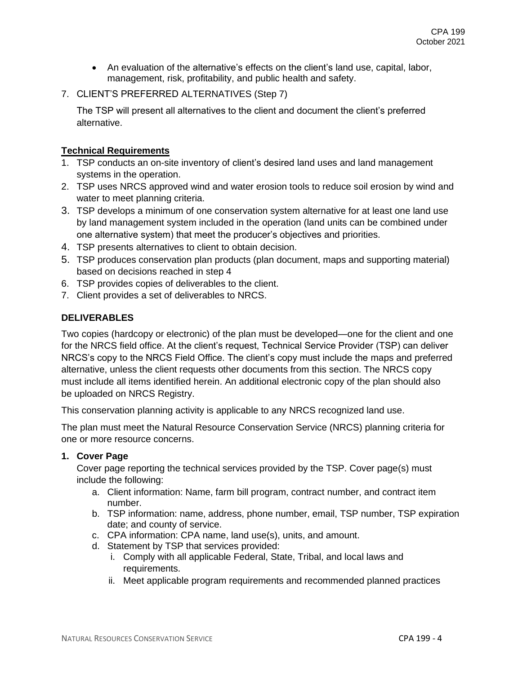- An evaluation of the alternative's effects on the client's land use, capital, labor, management, risk, profitability, and public health and safety.
- 7. CLIENT'S PREFERRED ALTERNATIVES (Step 7)

The TSP will present all alternatives to the client and document the client's preferred alternative.

# **Technical Requirements**

- 1. TSP conducts an on-site inventory of client's desired land uses and land management systems in the operation.
- 2. TSP uses NRCS approved wind and water erosion tools to reduce soil erosion by wind and water to meet planning criteria.
- 3. TSP develops a minimum of one conservation system alternative for at least one land use by land management system included in the operation (land units can be combined under one alternative system) that meet the producer's objectives and priorities.
- 4. TSP presents alternatives to client to obtain decision.
- 5. TSP produces conservation plan products (plan document, maps and supporting material) based on decisions reached in step 4
- 6. TSP provides copies of deliverables to the client.
- 7. Client provides a set of deliverables to NRCS.

# **DELIVERABLES**

Two copies (hardcopy or electronic) of the plan must be developed—one for the client and one for the NRCS field office. At the client's request, Technical Service Provider (TSP) can deliver NRCS's copy to the NRCS Field Office. The client's copy must include the maps and preferred alternative, unless the client requests other documents from this section. The NRCS copy must include all items identified herein. An additional electronic copy of the plan should also be uploaded on NRCS Registry.

This conservation planning activity is applicable to any NRCS recognized land use.

The plan must meet the Natural Resource Conservation Service (NRCS) planning criteria for one or more resource concerns.

# **1. Cover Page**

Cover page reporting the technical services provided by the TSP. Cover page(s) must include the following:

- a. Client information: Name, farm bill program, contract number, and contract item number.
- b. TSP information: name, address, phone number, email, TSP number, TSP expiration date; and county of service.
- c. CPA information: CPA name, land use(s), units, and amount.
- d. Statement by TSP that services provided:
	- i. Comply with all applicable Federal, State, Tribal, and local laws and requirements.
	- ii. Meet applicable program requirements and recommended planned practices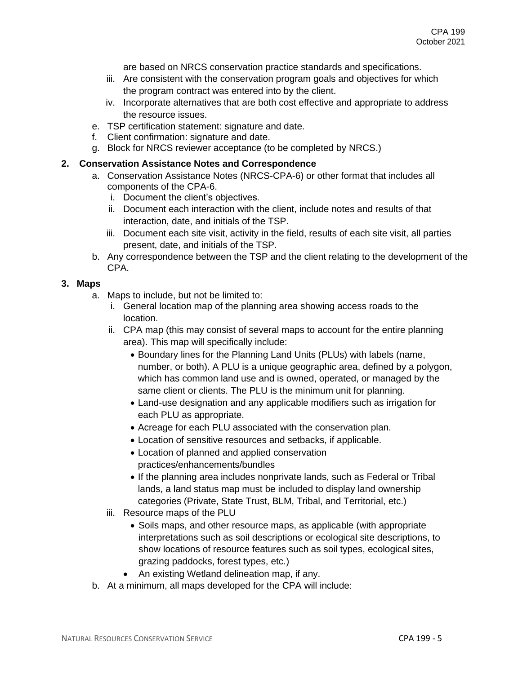are based on NRCS conservation practice standards and specifications.

- iii. Are consistent with the conservation program goals and objectives for which the program contract was entered into by the client.
- iv. Incorporate alternatives that are both cost effective and appropriate to address the resource issues.
- e. TSP certification statement: signature and date.
- f. Client confirmation: signature and date.
- g. Block for NRCS reviewer acceptance (to be completed by NRCS.)

### **2. Conservation Assistance Notes and Correspondence**

- a. Conservation Assistance Notes (NRCS-CPA-6) or other format that includes all components of the CPA-6.
	- i. Document the client's objectives.
	- ii. Document each interaction with the client, include notes and results of that interaction, date, and initials of the TSP.
	- iii. Document each site visit, activity in the field, results of each site visit, all parties present, date, and initials of the TSP.
- b. Any correspondence between the TSP and the client relating to the development of the CPA.

#### **3. Maps**

- a. Maps to include, but not be limited to:
	- i. General location map of the planning area showing access roads to the location.
	- ii. CPA map (this may consist of several maps to account for the entire planning area). This map will specifically include:
		- Boundary lines for the Planning Land Units (PLUs) with labels (name, number, or both). A PLU is a unique geographic area, defined by a polygon, which has common land use and is owned, operated, or managed by the same client or clients. The PLU is the minimum unit for planning.
		- Land-use designation and any applicable modifiers such as irrigation for each PLU as appropriate.
		- Acreage for each PLU associated with the conservation plan.
		- Location of sensitive resources and setbacks, if applicable.
		- Location of planned and applied conservation practices/enhancements/bundles
		- If the planning area includes nonprivate lands, such as Federal or Tribal lands, a land status map must be included to display land ownership categories (Private, State Trust, BLM, Tribal, and Territorial, etc.)
	- iii. Resource maps of the PLU
		- Soils maps, and other resource maps, as applicable (with appropriate interpretations such as soil descriptions or ecological site descriptions, to show locations of resource features such as soil types, ecological sites, grazing paddocks, forest types, etc.)
		- An existing Wetland delineation map, if any.
- b. At a minimum, all maps developed for the CPA will include: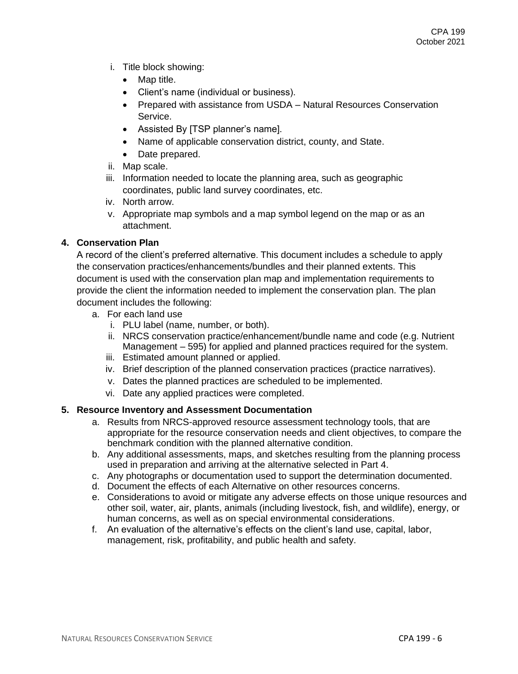- i. Title block showing:
	- Map title.
	- Client's name (individual or business).
	- Prepared with assistance from USDA Natural Resources Conservation Service.
	- Assisted By [TSP planner's name].
	- Name of applicable conservation district, county, and State.
	- Date prepared.
- ii. Map scale.
- iii. Information needed to locate the planning area, such as geographic coordinates, public land survey coordinates, etc.
- iv. North arrow.
- v. Appropriate map symbols and a map symbol legend on the map or as an attachment.

# **4. Conservation Plan**

A record of the client's preferred alternative. This document includes a schedule to apply the conservation practices/enhancements/bundles and their planned extents. This document is used with the conservation plan map and implementation requirements to provide the client the information needed to implement the conservation plan. The plan document includes the following:

- a. For each land use
	- i. PLU label (name, number, or both).
	- ii. NRCS conservation practice/enhancement/bundle name and code (e.g. Nutrient Management – 595) for applied and planned practices required for the system.
	- iii. Estimated amount planned or applied.
	- iv. Brief description of the planned conservation practices (practice narratives).
	- v. Dates the planned practices are scheduled to be implemented.
	- vi. Date any applied practices were completed.

# **5. Resource Inventory and Assessment Documentation**

- a. Results from NRCS-approved resource assessment technology tools, that are appropriate for the resource conservation needs and client objectives, to compare the benchmark condition with the planned alternative condition.
- b. Any additional assessments, maps, and sketches resulting from the planning process used in preparation and arriving at the alternative selected in Part 4.
- c. Any photographs or documentation used to support the determination documented.
- d. Document the effects of each Alternative on other resources concerns.
- e. Considerations to avoid or mitigate any adverse effects on those unique resources and other soil, water, air, plants, animals (including livestock, fish, and wildlife), energy, or human concerns, as well as on special environmental considerations.
- f. An evaluation of the alternative's effects on the client's land use, capital, labor, management, risk, profitability, and public health and safety.